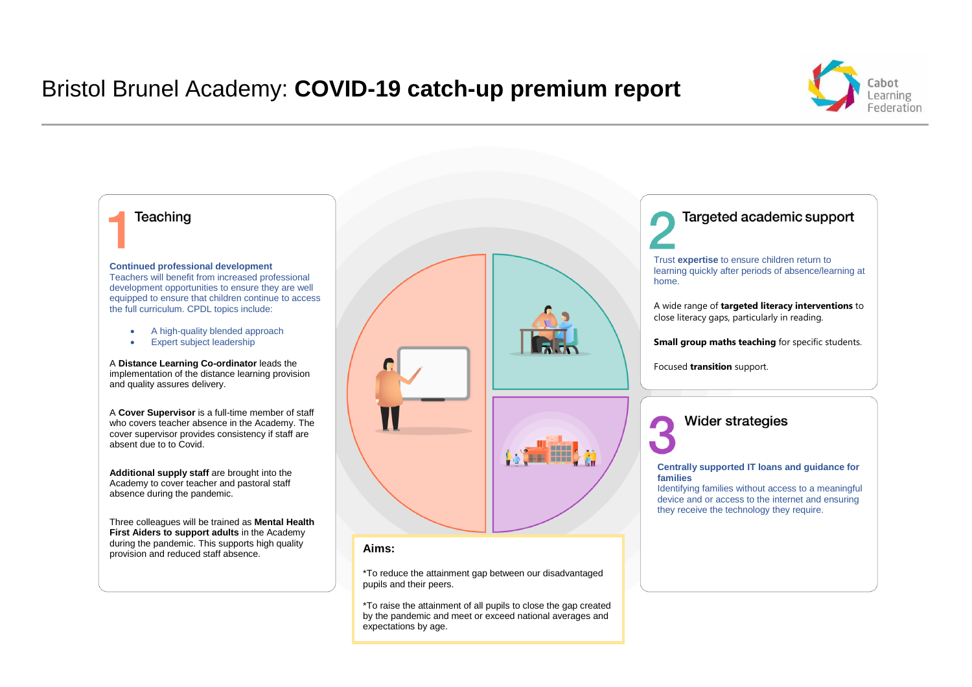# Bristol Brunel Academy: **COVID-19 catch-up premium report**



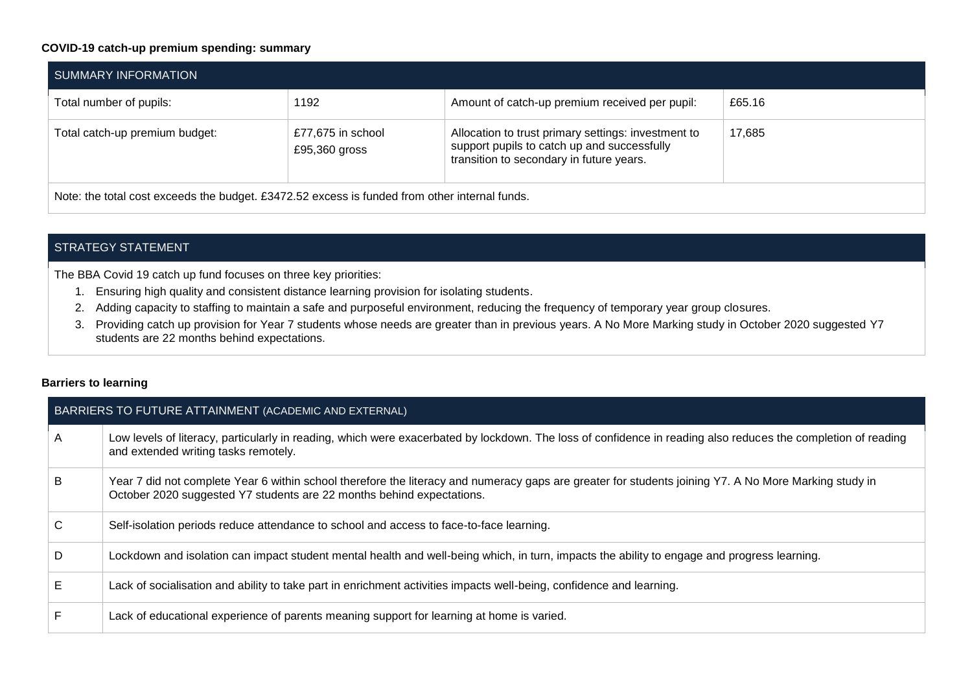## **COVID-19 catch-up premium spending: summary**

| SUMMARY INFORMATION                                                                           |                                    |                                                                                                                                                |        |  |  |  |  |
|-----------------------------------------------------------------------------------------------|------------------------------------|------------------------------------------------------------------------------------------------------------------------------------------------|--------|--|--|--|--|
| Total number of pupils:                                                                       | 1192                               | Amount of catch-up premium received per pupil:                                                                                                 | £65.16 |  |  |  |  |
| Total catch-up premium budget:                                                                | £77,675 in school<br>£95,360 gross | Allocation to trust primary settings: investment to<br>support pupils to catch up and successfully<br>transition to secondary in future years. | 17.685 |  |  |  |  |
| Note: the total cost exceeds the budget. £3472.52 excess is funded from other internal funds. |                                    |                                                                                                                                                |        |  |  |  |  |

### STRATEGY STATEMENT

The BBA Covid 19 catch up fund focuses on three key priorities:

- 1. Ensuring high quality and consistent distance learning provision for isolating students.
- 2. Adding capacity to staffing to maintain a safe and purposeful environment, reducing the frequency of temporary year group closures.
- 3. Providing catch up provision for Year 7 students whose needs are greater than in previous years. A No More Marking study in October 2020 suggested Y7 students are 22 months behind expectations.

#### **Barriers to learning**

|   | BARRIERS TO FUTURE ATTAINMENT (ACADEMIC AND EXTERNAL)                                                                                                                                                                          |  |  |  |  |  |
|---|--------------------------------------------------------------------------------------------------------------------------------------------------------------------------------------------------------------------------------|--|--|--|--|--|
| A | Low levels of literacy, particularly in reading, which were exacerbated by lockdown. The loss of confidence in reading also reduces the completion of reading<br>and extended writing tasks remotely.                          |  |  |  |  |  |
| B | Year 7 did not complete Year 6 within school therefore the literacy and numeracy gaps are greater for students joining Y7. A No More Marking study in<br>October 2020 suggested Y7 students are 22 months behind expectations. |  |  |  |  |  |
| C | Self-isolation periods reduce attendance to school and access to face-to-face learning.                                                                                                                                        |  |  |  |  |  |
| D | Lockdown and isolation can impact student mental health and well-being which, in turn, impacts the ability to engage and progress learning.                                                                                    |  |  |  |  |  |
| Е | Lack of socialisation and ability to take part in enrichment activities impacts well-being, confidence and learning.                                                                                                           |  |  |  |  |  |
|   | Lack of educational experience of parents meaning support for learning at home is varied.                                                                                                                                      |  |  |  |  |  |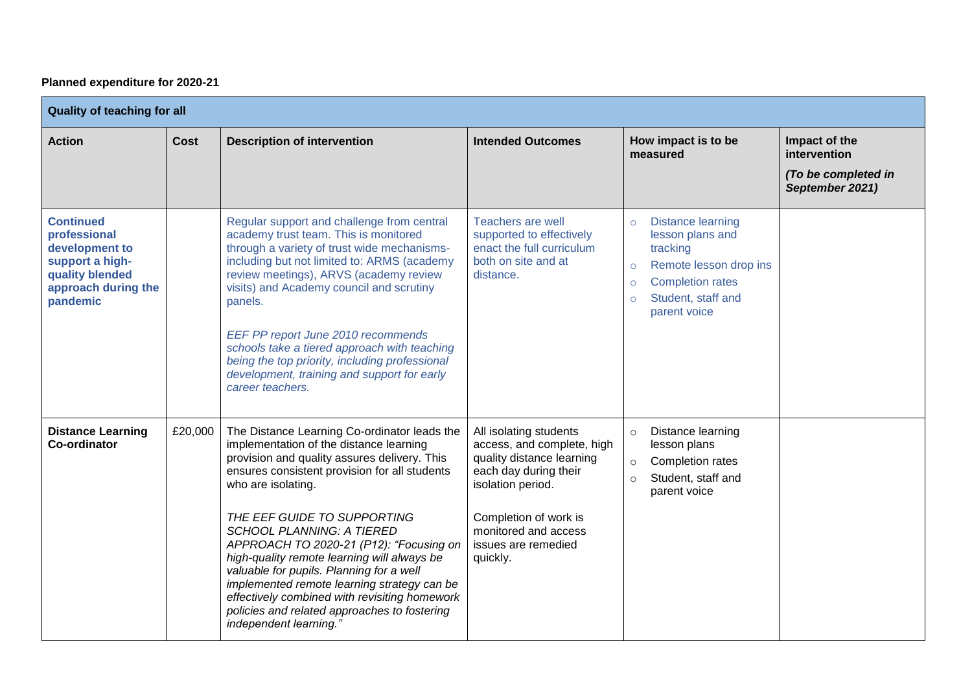## **Planned expenditure for 2020-21**

| <b>Quality of teaching for all</b>                                                                                          |             |                                                                                                                                                                                                                                                                                                                                                                                                                                                                                                                                                                                                   |                                                                                                                                                                                                                     |                                                                                                                                                                                                 |                                                                         |  |
|-----------------------------------------------------------------------------------------------------------------------------|-------------|---------------------------------------------------------------------------------------------------------------------------------------------------------------------------------------------------------------------------------------------------------------------------------------------------------------------------------------------------------------------------------------------------------------------------------------------------------------------------------------------------------------------------------------------------------------------------------------------------|---------------------------------------------------------------------------------------------------------------------------------------------------------------------------------------------------------------------|-------------------------------------------------------------------------------------------------------------------------------------------------------------------------------------------------|-------------------------------------------------------------------------|--|
| <b>Action</b>                                                                                                               | <b>Cost</b> | <b>Description of intervention</b>                                                                                                                                                                                                                                                                                                                                                                                                                                                                                                                                                                | <b>Intended Outcomes</b>                                                                                                                                                                                            | How impact is to be<br>measured                                                                                                                                                                 | Impact of the<br>intervention<br>(To be completed in<br>September 2021) |  |
| <b>Continued</b><br>professional<br>development to<br>support a high-<br>quality blended<br>approach during the<br>pandemic |             | Regular support and challenge from central<br>academy trust team. This is monitored<br>through a variety of trust wide mechanisms-<br>including but not limited to: ARMS (academy<br>review meetings), ARVS (academy review<br>visits) and Academy council and scrutiny<br>panels.<br>EEF PP report June 2010 recommends<br>schools take a tiered approach with teaching<br>being the top priority, including professional<br>development, training and support for early<br>career teachers.                                                                                                     | <b>Teachers are well</b><br>supported to effectively<br>enact the full curriculum<br>both on site and at<br>distance.                                                                                               | <b>Distance learning</b><br>$\circ$<br>lesson plans and<br>tracking<br>Remote lesson drop ins<br>$\circ$<br><b>Completion rates</b><br>$\circ$<br>Student, staff and<br>$\circ$<br>parent voice |                                                                         |  |
| <b>Distance Learning</b><br><b>Co-ordinator</b>                                                                             | £20,000     | The Distance Learning Co-ordinator leads the<br>implementation of the distance learning<br>provision and quality assures delivery. This<br>ensures consistent provision for all students<br>who are isolating.<br>THE EEF GUIDE TO SUPPORTING<br><b>SCHOOL PLANNING: A TIERED</b><br>APPROACH TO 2020-21 (P12): "Focusing on<br>high-quality remote learning will always be<br>valuable for pupils. Planning for a well<br>implemented remote learning strategy can be<br>effectively combined with revisiting homework<br>policies and related approaches to fostering<br>independent learning." | All isolating students<br>access, and complete, high<br>quality distance learning<br>each day during their<br>isolation period.<br>Completion of work is<br>monitored and access<br>issues are remedied<br>quickly. | Distance learning<br>$\circ$<br>lesson plans<br>Completion rates<br>$\circ$<br>Student, staff and<br>$\circ$<br>parent voice                                                                    |                                                                         |  |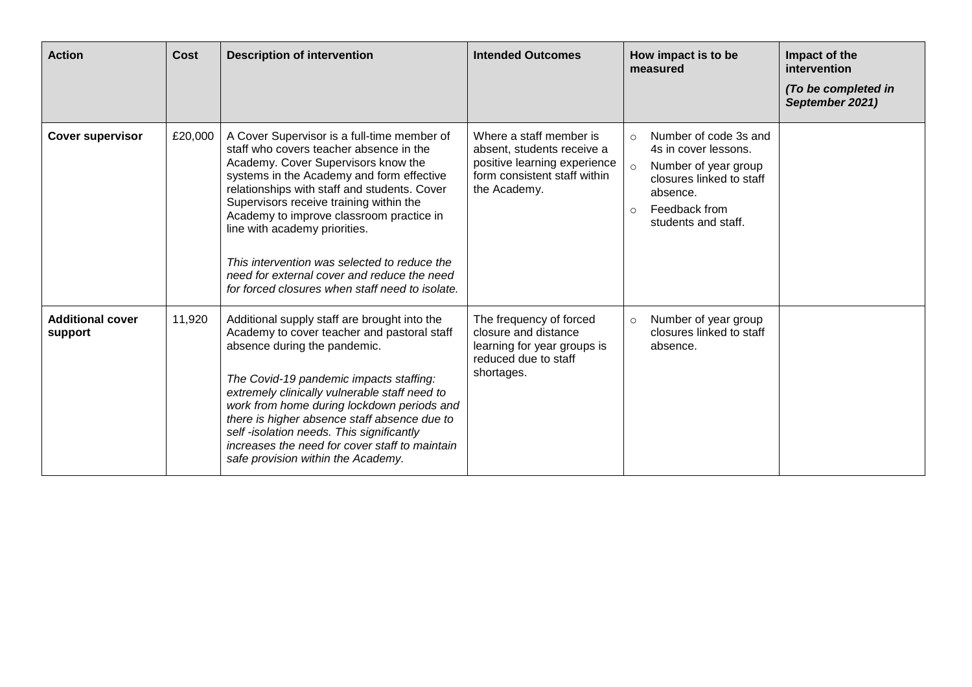| <b>Action</b>                      | Cost    | <b>Description of intervention</b>                                                                                                                                                                                                                                                                                                                                                                                                                                                                   | <b>Intended Outcomes</b>                                                                                                              | How impact is to be<br>measured                                                                                                                                                        | Impact of the<br>intervention<br>(To be completed in<br>September 2021) |
|------------------------------------|---------|------------------------------------------------------------------------------------------------------------------------------------------------------------------------------------------------------------------------------------------------------------------------------------------------------------------------------------------------------------------------------------------------------------------------------------------------------------------------------------------------------|---------------------------------------------------------------------------------------------------------------------------------------|----------------------------------------------------------------------------------------------------------------------------------------------------------------------------------------|-------------------------------------------------------------------------|
| <b>Cover supervisor</b>            | £20,000 | A Cover Supervisor is a full-time member of<br>staff who covers teacher absence in the<br>Academy. Cover Supervisors know the<br>systems in the Academy and form effective<br>relationships with staff and students. Cover<br>Supervisors receive training within the<br>Academy to improve classroom practice in<br>line with academy priorities.<br>This intervention was selected to reduce the<br>need for external cover and reduce the need<br>for forced closures when staff need to isolate. | Where a staff member is<br>absent, students receive a<br>positive learning experience<br>form consistent staff within<br>the Academy. | Number of code 3s and<br>$\circ$<br>4s in cover lessons.<br>Number of year group<br>$\circ$<br>closures linked to staff<br>absence.<br>Feedback from<br>$\circ$<br>students and staff. |                                                                         |
| <b>Additional cover</b><br>support | 11,920  | Additional supply staff are brought into the<br>Academy to cover teacher and pastoral staff<br>absence during the pandemic.<br>The Covid-19 pandemic impacts staffing:<br>extremely clinically vulnerable staff need to<br>work from home during lockdown periods and<br>there is higher absence staff absence due to<br>self-isolation needs. This significantly<br>increases the need for cover staff to maintain<br>safe provision within the Academy.                                            | The frequency of forced<br>closure and distance<br>learning for year groups is<br>reduced due to staff<br>shortages.                  | Number of year group<br>$\circ$<br>closures linked to staff<br>absence.                                                                                                                |                                                                         |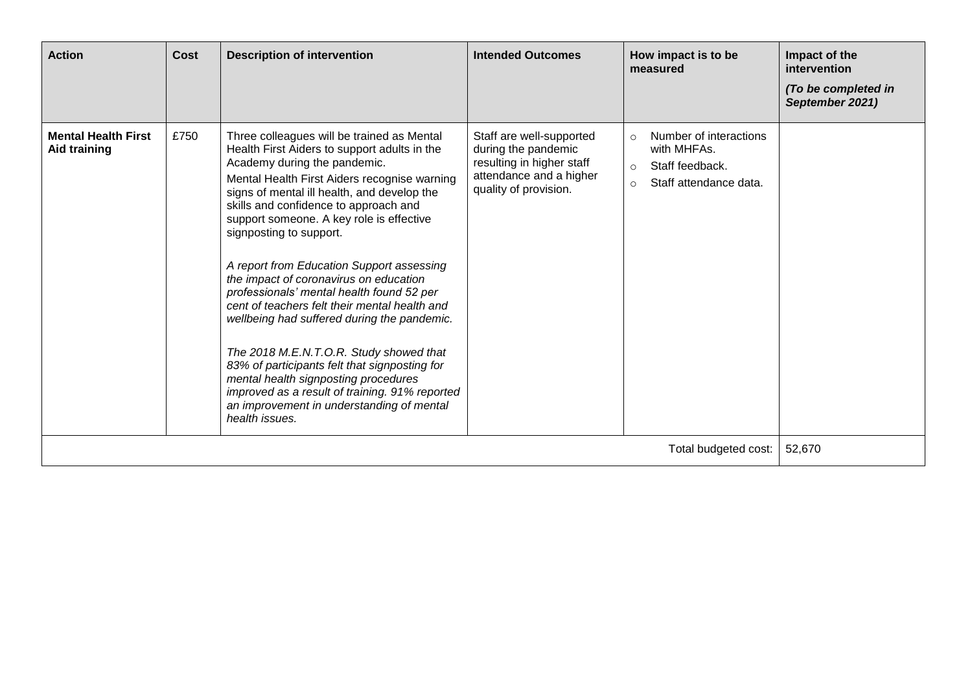| <b>Action</b>                                     | Cost | <b>Description of intervention</b>                                                                                                                                                                                                                                                                                                                                                                                                                                                                                                                                                                                                                                                                                                                                                                                                 | <b>Intended Outcomes</b>                                                                                                         | How impact is to be<br>measured                                                                                     | Impact of the<br>intervention<br>(To be completed in<br>September 2021) |
|---------------------------------------------------|------|------------------------------------------------------------------------------------------------------------------------------------------------------------------------------------------------------------------------------------------------------------------------------------------------------------------------------------------------------------------------------------------------------------------------------------------------------------------------------------------------------------------------------------------------------------------------------------------------------------------------------------------------------------------------------------------------------------------------------------------------------------------------------------------------------------------------------------|----------------------------------------------------------------------------------------------------------------------------------|---------------------------------------------------------------------------------------------------------------------|-------------------------------------------------------------------------|
| <b>Mental Health First</b><br><b>Aid training</b> | £750 | Three colleagues will be trained as Mental<br>Health First Aiders to support adults in the<br>Academy during the pandemic.<br>Mental Health First Aiders recognise warning<br>signs of mental ill health, and develop the<br>skills and confidence to approach and<br>support someone. A key role is effective<br>signposting to support.<br>A report from Education Support assessing<br>the impact of coronavirus on education<br>professionals' mental health found 52 per<br>cent of teachers felt their mental health and<br>wellbeing had suffered during the pandemic.<br>The 2018 M.E.N.T.O.R. Study showed that<br>83% of participants felt that signposting for<br>mental health signposting procedures<br>improved as a result of training. 91% reported<br>an improvement in understanding of mental<br>health issues. | Staff are well-supported<br>during the pandemic<br>resulting in higher staff<br>attendance and a higher<br>quality of provision. | Number of interactions<br>$\circ$<br>with MHFAs.<br>Staff feedback.<br>$\circ$<br>Staff attendance data.<br>$\circ$ |                                                                         |
|                                                   |      |                                                                                                                                                                                                                                                                                                                                                                                                                                                                                                                                                                                                                                                                                                                                                                                                                                    |                                                                                                                                  | Total budgeted cost:                                                                                                | 52,670                                                                  |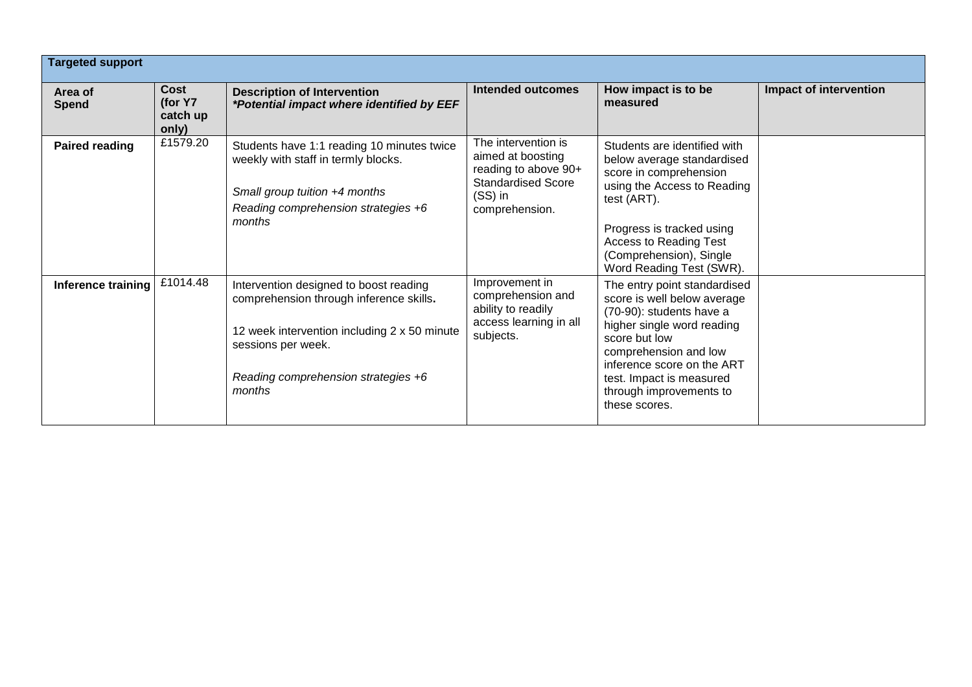| <b>Targeted support</b> |                                      |                                                                                                                                                                                                          |                                                                                                                            |                                                                                                                                                                                                                                                                       |                               |
|-------------------------|--------------------------------------|----------------------------------------------------------------------------------------------------------------------------------------------------------------------------------------------------------|----------------------------------------------------------------------------------------------------------------------------|-----------------------------------------------------------------------------------------------------------------------------------------------------------------------------------------------------------------------------------------------------------------------|-------------------------------|
| Area of<br><b>Spend</b> | Cost<br>(for Y7<br>catch up<br>only) | <b>Description of Intervention</b><br>*Potential impact where identified by EEF                                                                                                                          | <b>Intended outcomes</b>                                                                                                   | How impact is to be<br>measured                                                                                                                                                                                                                                       | <b>Impact of intervention</b> |
| <b>Paired reading</b>   | £1579.20                             | Students have 1:1 reading 10 minutes twice<br>weekly with staff in termly blocks.<br>Small group tuition +4 months<br>Reading comprehension strategies +6<br>months                                      | The intervention is<br>aimed at boosting<br>reading to above 90+<br><b>Standardised Score</b><br>(SS) in<br>comprehension. | Students are identified with<br>below average standardised<br>score in comprehension<br>using the Access to Reading<br>test (ART).<br>Progress is tracked using<br><b>Access to Reading Test</b><br>(Comprehension), Single<br>Word Reading Test (SWR).               |                               |
| Inference training      | £1014.48                             | Intervention designed to boost reading<br>comprehension through inference skills.<br>12 week intervention including 2 x 50 minute<br>sessions per week.<br>Reading comprehension strategies +6<br>months | Improvement in<br>comprehension and<br>ability to readily<br>access learning in all<br>subjects.                           | The entry point standardised<br>score is well below average<br>(70-90): students have a<br>higher single word reading<br>score but low<br>comprehension and low<br>inference score on the ART<br>test. Impact is measured<br>through improvements to<br>these scores. |                               |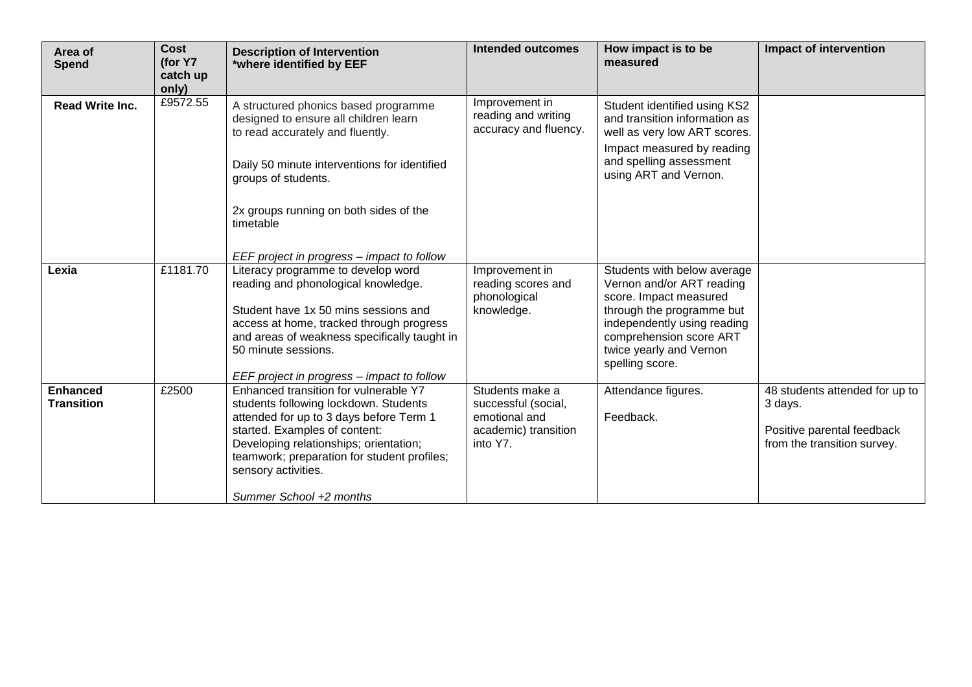| Area of<br><b>Spend</b>              | <b>Cost</b><br>(for Y7<br>catch up | <b>Description of Intervention</b><br>*where identified by EEF                                                                                                                                                                                                                                        | <b>Intended outcomes</b>                                                                    | How impact is to be<br>measured                                                                                                                                                                                         | <b>Impact of intervention</b>                                                                          |
|--------------------------------------|------------------------------------|-------------------------------------------------------------------------------------------------------------------------------------------------------------------------------------------------------------------------------------------------------------------------------------------------------|---------------------------------------------------------------------------------------------|-------------------------------------------------------------------------------------------------------------------------------------------------------------------------------------------------------------------------|--------------------------------------------------------------------------------------------------------|
|                                      | only)                              |                                                                                                                                                                                                                                                                                                       |                                                                                             |                                                                                                                                                                                                                         |                                                                                                        |
| <b>Read Write Inc.</b>               | £9572.55                           | A structured phonics based programme<br>designed to ensure all children learn<br>to read accurately and fluently.<br>Daily 50 minute interventions for identified<br>groups of students.<br>2x groups running on both sides of the<br>timetable                                                       | Improvement in<br>reading and writing<br>accuracy and fluency.                              | Student identified using KS2<br>and transition information as<br>well as very low ART scores.<br>Impact measured by reading<br>and spelling assessment<br>using ART and Vernon.                                         |                                                                                                        |
|                                      |                                    | EEF project in progress - impact to follow                                                                                                                                                                                                                                                            |                                                                                             |                                                                                                                                                                                                                         |                                                                                                        |
| Lexia                                | £1181.70                           | Literacy programme to develop word<br>reading and phonological knowledge.<br>Student have 1x 50 mins sessions and<br>access at home, tracked through progress<br>and areas of weakness specifically taught in<br>50 minute sessions.<br>EEF project in progress – impact to follow                    | Improvement in<br>reading scores and<br>phonological<br>knowledge.                          | Students with below average<br>Vernon and/or ART reading<br>score. Impact measured<br>through the programme but<br>independently using reading<br>comprehension score ART<br>twice yearly and Vernon<br>spelling score. |                                                                                                        |
| <b>Enhanced</b><br><b>Transition</b> | £2500                              | Enhanced transition for vulnerable Y7<br>students following lockdown. Students<br>attended for up to 3 days before Term 1<br>started. Examples of content:<br>Developing relationships; orientation;<br>teamwork; preparation for student profiles;<br>sensory activities.<br>Summer School +2 months | Students make a<br>successful (social,<br>emotional and<br>academic) transition<br>into Y7. | Attendance figures.<br>Feedback.                                                                                                                                                                                        | 48 students attended for up to<br>3 days.<br>Positive parental feedback<br>from the transition survey. |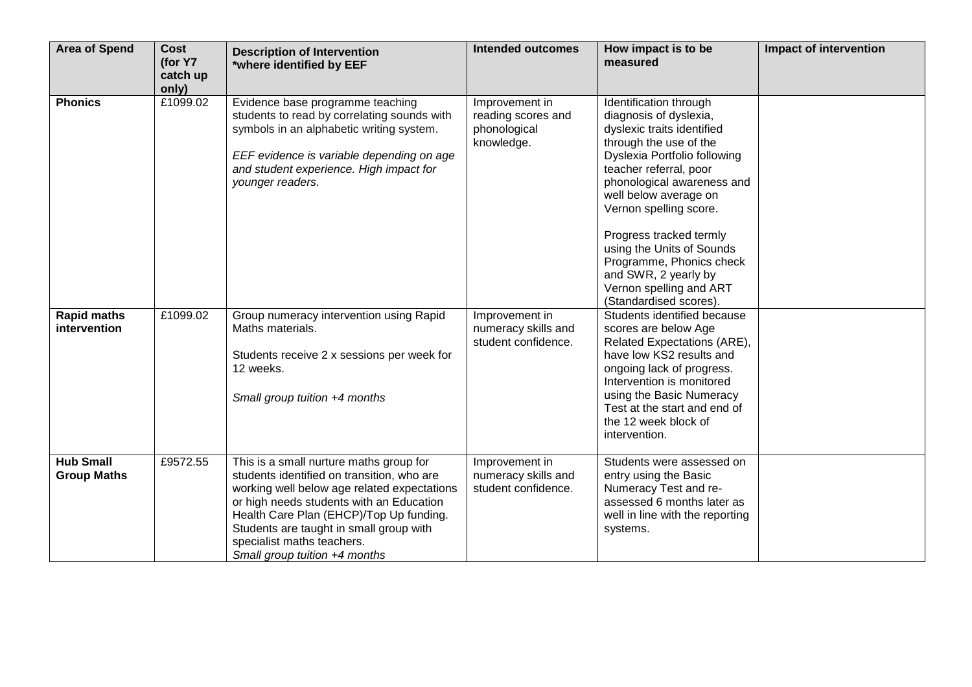| <b>Area of Spend</b>                      | <b>Cost</b><br>(for Y7<br>catch up<br>only) | <b>Description of Intervention</b><br>*where identified by EEF                                                                                                                                                                                                                                                                        | <b>Intended outcomes</b>                                           | How impact is to be<br>measured                                                                                                                                                                                                                                                                                                                                                                                      | Impact of intervention |
|-------------------------------------------|---------------------------------------------|---------------------------------------------------------------------------------------------------------------------------------------------------------------------------------------------------------------------------------------------------------------------------------------------------------------------------------------|--------------------------------------------------------------------|----------------------------------------------------------------------------------------------------------------------------------------------------------------------------------------------------------------------------------------------------------------------------------------------------------------------------------------------------------------------------------------------------------------------|------------------------|
| <b>Phonics</b>                            | £1099.02                                    | Evidence base programme teaching<br>students to read by correlating sounds with<br>symbols in an alphabetic writing system.<br>EEF evidence is variable depending on age<br>and student experience. High impact for<br>younger readers.                                                                                               | Improvement in<br>reading scores and<br>phonological<br>knowledge. | Identification through<br>diagnosis of dyslexia,<br>dyslexic traits identified<br>through the use of the<br>Dyslexia Portfolio following<br>teacher referral, poor<br>phonological awareness and<br>well below average on<br>Vernon spelling score.<br>Progress tracked termly<br>using the Units of Sounds<br>Programme, Phonics check<br>and SWR, 2 yearly by<br>Vernon spelling and ART<br>(Standardised scores). |                        |
| <b>Rapid maths</b><br><i>intervention</i> | £1099.02                                    | Group numeracy intervention using Rapid<br>Maths materials.<br>Students receive 2 x sessions per week for<br>12 weeks.<br>Small group tuition +4 months                                                                                                                                                                               | Improvement in<br>numeracy skills and<br>student confidence.       | Students identified because<br>scores are below Age<br>Related Expectations (ARE),<br>have low KS2 results and<br>ongoing lack of progress.<br>Intervention is monitored<br>using the Basic Numeracy<br>Test at the start and end of<br>the 12 week block of<br>intervention.                                                                                                                                        |                        |
| <b>Hub Small</b><br><b>Group Maths</b>    | £9572.55                                    | This is a small nurture maths group for<br>students identified on transition, who are<br>working well below age related expectations<br>or high needs students with an Education<br>Health Care Plan (EHCP)/Top Up funding.<br>Students are taught in small group with<br>specialist maths teachers.<br>Small group tuition +4 months | Improvement in<br>numeracy skills and<br>student confidence.       | Students were assessed on<br>entry using the Basic<br>Numeracy Test and re-<br>assessed 6 months later as<br>well in line with the reporting<br>systems.                                                                                                                                                                                                                                                             |                        |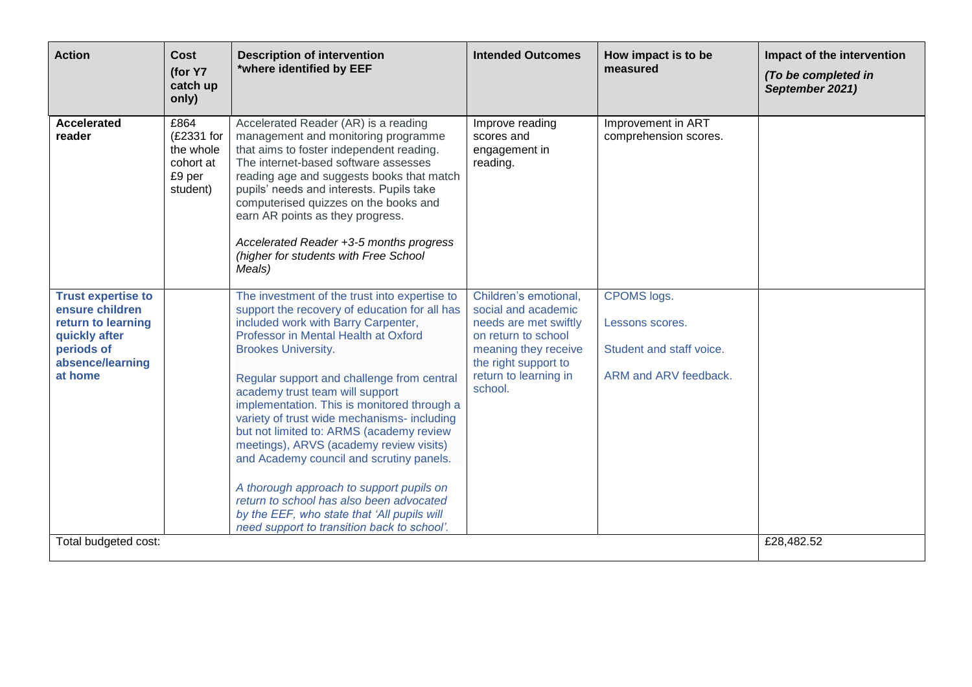| <b>Action</b>                                                                                                                    | <b>Cost</b><br>(for Y7<br>catch up<br>only)                        | <b>Description of intervention</b><br>*where identified by EEF                                                                                                                                                                                                                                                                                                                                                                                                                                                                                                                                                                                                                                                      | <b>Intended Outcomes</b>                                                                                                                                                         | How impact is to be<br>measured                                                            | Impact of the intervention<br>(To be completed in<br>September 2021) |
|----------------------------------------------------------------------------------------------------------------------------------|--------------------------------------------------------------------|---------------------------------------------------------------------------------------------------------------------------------------------------------------------------------------------------------------------------------------------------------------------------------------------------------------------------------------------------------------------------------------------------------------------------------------------------------------------------------------------------------------------------------------------------------------------------------------------------------------------------------------------------------------------------------------------------------------------|----------------------------------------------------------------------------------------------------------------------------------------------------------------------------------|--------------------------------------------------------------------------------------------|----------------------------------------------------------------------|
| <b>Accelerated</b><br>reader                                                                                                     | £864<br>(£2331 for<br>the whole<br>cohort at<br>£9 per<br>student) | Accelerated Reader (AR) is a reading<br>management and monitoring programme<br>that aims to foster independent reading.<br>The internet-based software assesses<br>reading age and suggests books that match<br>pupils' needs and interests. Pupils take<br>computerised quizzes on the books and<br>earn AR points as they progress.<br>Accelerated Reader +3-5 months progress<br>(higher for students with Free School<br>Meals)                                                                                                                                                                                                                                                                                 | Improve reading<br>scores and<br>engagement in<br>reading.                                                                                                                       | Improvement in ART<br>comprehension scores.                                                |                                                                      |
| <b>Trust expertise to</b><br>ensure children<br>return to learning<br>quickly after<br>periods of<br>absence/learning<br>at home |                                                                    | The investment of the trust into expertise to<br>support the recovery of education for all has<br>included work with Barry Carpenter,<br>Professor in Mental Health at Oxford<br><b>Brookes University.</b><br>Regular support and challenge from central<br>academy trust team will support<br>implementation. This is monitored through a<br>variety of trust wide mechanisms- including<br>but not limited to: ARMS (academy review<br>meetings), ARVS (academy review visits)<br>and Academy council and scrutiny panels.<br>A thorough approach to support pupils on<br>return to school has also been advocated<br>by the EEF, who state that 'All pupils will<br>need support to transition back to school'. | Children's emotional,<br>social and academic<br>needs are met swiftly<br>on return to school<br>meaning they receive<br>the right support to<br>return to learning in<br>school. | <b>CPOMS</b> logs.<br>Lessons scores.<br>Student and staff voice.<br>ARM and ARV feedback. |                                                                      |
| Total budgeted cost:                                                                                                             |                                                                    |                                                                                                                                                                                                                                                                                                                                                                                                                                                                                                                                                                                                                                                                                                                     |                                                                                                                                                                                  |                                                                                            | £28,482.52                                                           |